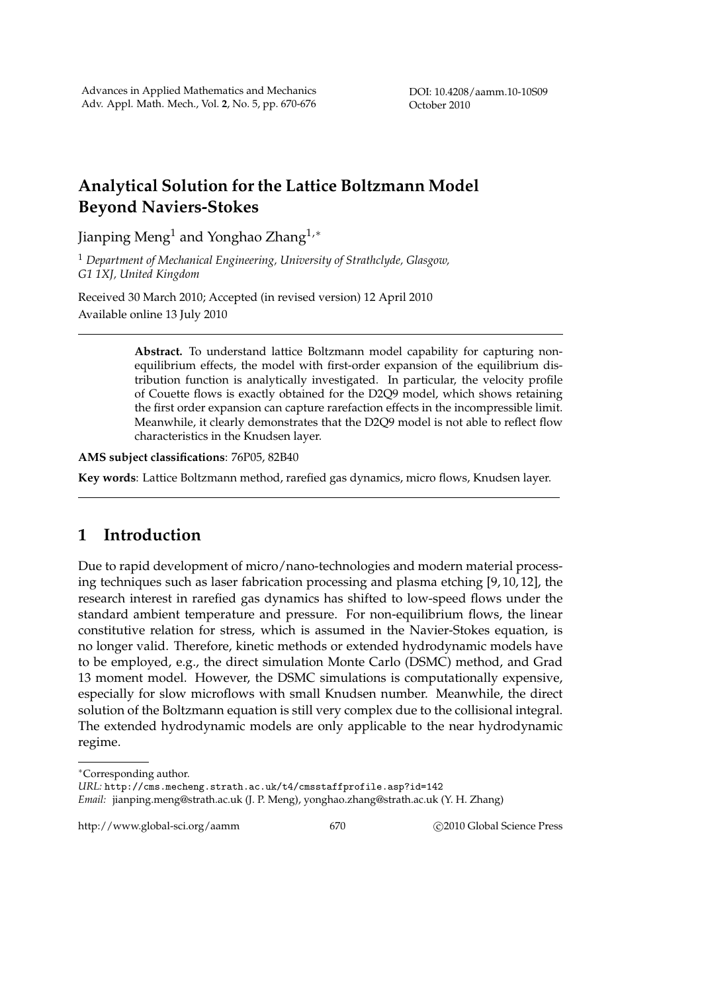DOI: 10.4208/aamm.10-10S09 October 2010

# **Analytical Solution for the Lattice Boltzmann Model Beyond Naviers-Stokes**

Jianping Meng<sup>1</sup> and Yonghao Zhang1,<sup>∗</sup>

<sup>1</sup> *Department of Mechanical Engineering, University of Strathclyde, Glasgow, G1 1XJ, United Kingdom*

Received 30 March 2010; Accepted (in revised version) 12 April 2010 Available online 13 July 2010

> **Abstract.** To understand lattice Boltzmann model capability for capturing nonequilibrium effects, the model with first-order expansion of the equilibrium distribution function is analytically investigated. In particular, the velocity profile of Couette flows is exactly obtained for the D2Q9 model, which shows retaining the first order expansion can capture rarefaction effects in the incompressible limit. Meanwhile, it clearly demonstrates that the D2Q9 model is not able to reflect flow characteristics in the Knudsen layer.

**AMS subject classifications**: 76P05, 82B40

**Key words**: Lattice Boltzmann method, rarefied gas dynamics, micro flows, Knudsen layer.

# **1 Introduction**

Due to rapid development of micro/nano-technologies and modern material processing techniques such as laser fabrication processing and plasma etching [9, 10, 12], the research interest in rarefied gas dynamics has shifted to low-speed flows under the standard ambient temperature and pressure. For non-equilibrium flows, the linear constitutive relation for stress, which is assumed in the Navier-Stokes equation, is no longer valid. Therefore, kinetic methods or extended hydrodynamic models have to be employed, e.g., the direct simulation Monte Carlo (DSMC) method, and Grad 13 moment model. However, the DSMC simulations is computationally expensive, especially for slow microflows with small Knudsen number. Meanwhile, the direct solution of the Boltzmann equation is still very complex due to the collisional integral. The extended hydrodynamic models are only applicable to the near hydrodynamic regime.

http://www.global-sci.org/aamm 670 670 62010 Global Science Press

<sup>∗</sup>Corresponding author.

*URL:* http://cms.mecheng.strath.ac.uk/t4/cmsstaffprofile.asp?id=142

*Email:* jianping.meng@strath.ac.uk (J. P. Meng), yonghao.zhang@strath.ac.uk (Y. H. Zhang)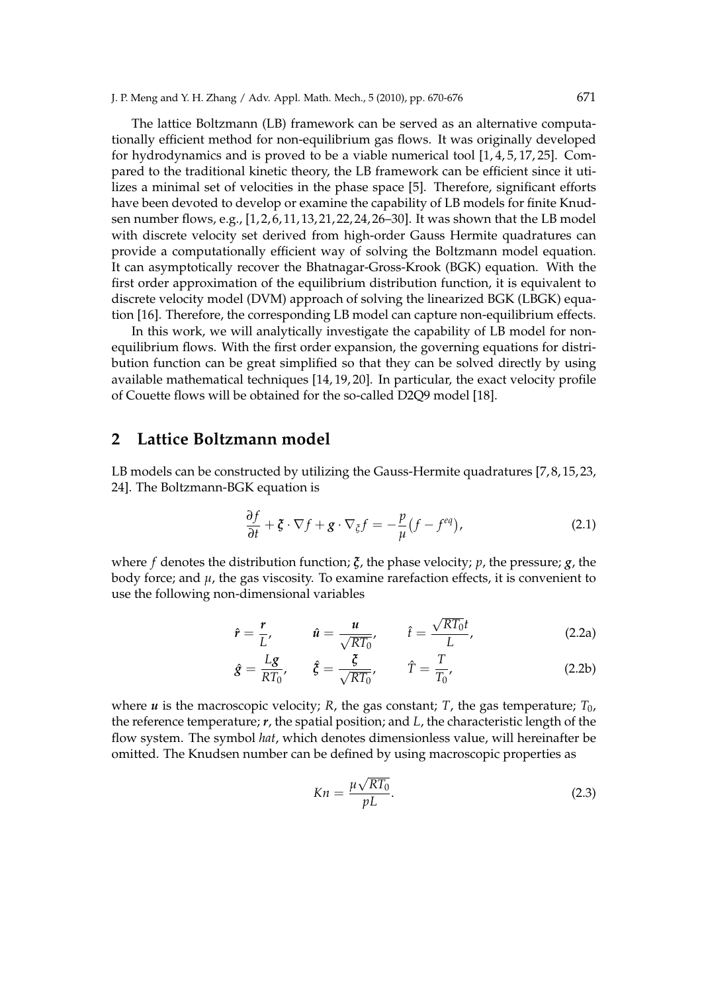The lattice Boltzmann (LB) framework can be served as an alternative computationally efficient method for non-equilibrium gas flows. It was originally developed for hydrodynamics and is proved to be a viable numerical tool  $[1, 4, 5, 17, 25]$ . Compared to the traditional kinetic theory, the LB framework can be efficient since it utilizes a minimal set of velocities in the phase space [5]. Therefore, significant efforts have been devoted to develop or examine the capability of LB models for finite Knudsen number flows, e.g., [1, 2, 6, 11, 13, 21, 22, 24, 26–30]. It was shown that the LB model with discrete velocity set derived from high-order Gauss Hermite quadratures can provide a computationally efficient way of solving the Boltzmann model equation. It can asymptotically recover the Bhatnagar-Gross-Krook (BGK) equation. With the first order approximation of the equilibrium distribution function, it is equivalent to discrete velocity model (DVM) approach of solving the linearized BGK (LBGK) equation [16]. Therefore, the corresponding LB model can capture non-equilibrium effects.

In this work, we will analytically investigate the capability of LB model for nonequilibrium flows. With the first order expansion, the governing equations for distribution function can be great simplified so that they can be solved directly by using available mathematical techniques [14, 19, 20]. In particular, the exact velocity profile of Couette flows will be obtained for the so-called D2Q9 model [18].

#### **2 Lattice Boltzmann model**

LB models can be constructed by utilizing the Gauss-Hermite quadratures [7,8,15,23, 24]. The Boltzmann-BGK equation is

$$
\frac{\partial f}{\partial t} + \zeta \cdot \nabla f + g \cdot \nabla_{\zeta} f = -\frac{p}{\mu} (f - f^{eq}), \qquad (2.1)
$$

where *f* denotes the distribution function; *ξ*, the phase velocity; *p*, the pressure; *g*, the body force; and  $\mu$ , the gas viscosity. To examine rarefaction effects, it is convenient to use the following non-dimensional variables

$$
\hat{r} = \frac{r}{L'}, \qquad \hat{u} = \frac{u}{\sqrt{RT_0}}, \qquad \hat{t} = \frac{\sqrt{RT_0}t}{L}, \qquad (2.2a)
$$

$$
\hat{g} = \frac{Lg}{RT_0}, \qquad \hat{\xi} = \frac{\xi}{\sqrt{RT_0}}, \qquad \hat{T} = \frac{T}{T_0}, \tag{2.2b}
$$

where *u* is the macroscopic velocity; *R*, the gas constant; *T*, the gas temperature;  $T_0$ , the reference temperature; *r*, the spatial position; and *L*, the characteristic length of the flow system. The symbol *hat*, which denotes dimensionless value, will hereinafter be omitted. The Knudsen number can be defined by using macroscopic properties as

$$
Kn = \frac{\mu\sqrt{RT_0}}{pL}.
$$
\n(2.3)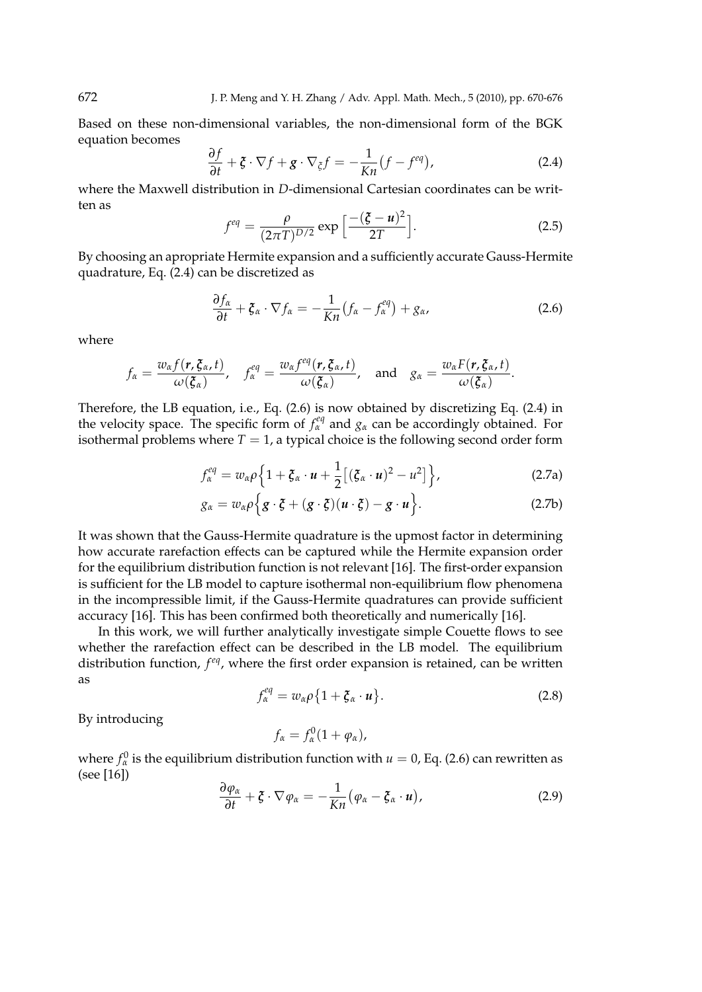Based on these non-dimensional variables, the non-dimensional form of the BGK equation becomes

$$
\frac{\partial f}{\partial t} + \zeta \cdot \nabla f + g \cdot \nabla_{\zeta} f = -\frac{1}{Kn} (f - f^{eq}), \qquad (2.4)
$$

where the Maxwell distribution in *D*-dimensional Cartesian coordinates can be written as i

$$
f^{eq} = \frac{\rho}{(2\pi T)^{D/2}} \exp\left[\frac{-(\zeta - u)^2}{2T}\right].
$$
 (2.5)

By choosing an apropriate Hermite expansion and a sufficiently accurate Gauss-Hermite quadrature, Eq. (2.4) can be discretized as

$$
\frac{\partial f_{\alpha}}{\partial t} + \xi_{\alpha} \cdot \nabla f_{\alpha} = -\frac{1}{Kn} \left( f_{\alpha} - f_{\alpha}^{eq} \right) + g_{\alpha}, \tag{2.6}
$$

where

$$
f_{\alpha} = \frac{w_{\alpha}f(r,\xi_{\alpha},t)}{\omega(\xi_{\alpha})}, \quad f_{\alpha}^{eq} = \frac{w_{\alpha}f^{eq}(r,\xi_{\alpha},t)}{\omega(\xi_{\alpha})}, \quad \text{and} \quad g_{\alpha} = \frac{w_{\alpha}F(r,\xi_{\alpha},t)}{\omega(\xi_{\alpha})}.
$$

Therefore, the LB equation, i.e., Eq. (2.6) is now obtained by discretizing Eq. (2.4) in the velocity space. The specific form of  $f_{\alpha}^{eq}$  and  $g_{\alpha}$  can be accordingly obtained. For isothermal problems where  $T = 1$ , a typical choice is the following second order form

$$
f_{\alpha}^{eq} = w_{\alpha}\rho\Big\{1 + \xi_{\alpha} \cdot u + \frac{1}{2}\big[(\xi_{\alpha} \cdot u)^2 - u^2\big]\Big\},\tag{2.7a}
$$

$$
g_{\alpha} = w_{\alpha}\rho\Big\{g\cdot\xi + (g\cdot\xi)(u\cdot\xi) - g\cdot u\Big\}.
$$
 (2.7b)

It was shown that the Gauss-Hermite quadrature is the upmost factor in determining how accurate rarefaction effects can be captured while the Hermite expansion order for the equilibrium distribution function is not relevant [16]. The first-order expansion is sufficient for the LB model to capture isothermal non-equilibrium flow phenomena in the incompressible limit, if the Gauss-Hermite quadratures can provide sufficient accuracy [16]. This has been confirmed both theoretically and numerically [16].

In this work, we will further analytically investigate simple Couette flows to see whether the rarefaction effect can be described in the LB model. The equilibrium distribution function, *f eq*, where the first order expansion is retained, can be written as  $\overline{a}$ ª

$$
f_{\alpha}^{eq} = w_{\alpha}\rho\{1 + \xi_{\alpha} \cdot u\}.
$$
 (2.8)

By introducing

 $f_{\alpha} = f_{\alpha}^0 (1 + \varphi_{\alpha}),$ 

where  $f^0_\alpha$  is the equilibrium distribution function with  $u=0$ , Eq. (2.6) can rewritten as (see [16])

$$
\frac{\partial \varphi_{\alpha}}{\partial t} + \xi \cdot \nabla \varphi_{\alpha} = -\frac{1}{Kn} (\varphi_{\alpha} - \xi_{\alpha} \cdot u), \qquad (2.9)
$$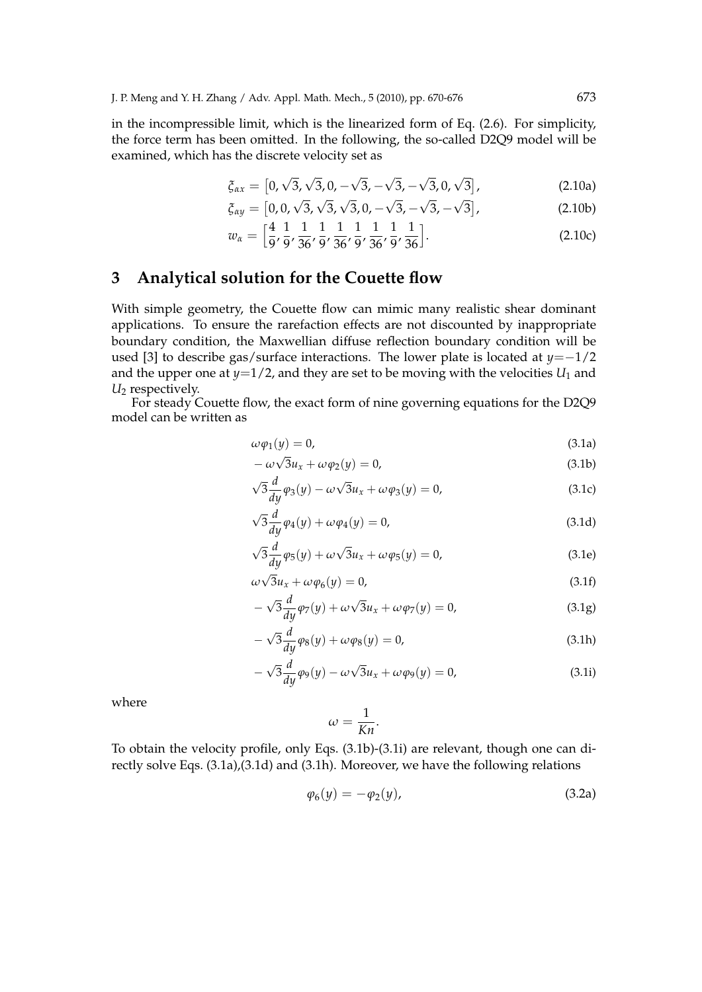in the incompressible limit, which is the linearized form of Eq. (2.6). For simplicity, the force term has been omitted. In the following, the so-called D2Q9 model will be examined, which has the discrete velocity set as

$$
\xi_{\alpha x} = [0, \sqrt{3}, \sqrt{3}, 0, -\sqrt{3}, -\sqrt{3}, -\sqrt{3}, 0, \sqrt{3}], \qquad (2.10a)
$$

$$
\xi_{\alpha y} = [0, 0, \sqrt{3}, \sqrt{3}, \sqrt{3}, 0, -\sqrt{3}, -\sqrt{3}, -\sqrt{3}],
$$
\n(2.10b)

$$
w_{\alpha} = \left[\frac{4}{9}, \frac{1}{9}, \frac{1}{36}, \frac{1}{9}, \frac{1}{36}, \frac{1}{9}, \frac{1}{36}, \frac{1}{9}, \frac{1}{36}\right].
$$
 (2.10c)

# **3 Analytical solution for the Couette flow**

With simple geometry, the Couette flow can mimic many realistic shear dominant applications. To ensure the rarefaction effects are not discounted by inappropriate boundary condition, the Maxwellian diffuse reflection boundary condition will be used [3] to describe gas/surface interactions. The lower plate is located at *y*=−1/2 and the upper one at  $y=1/2$ , and they are set to be moving with the velocities  $U_1$  and *U*<sup>2</sup> respectively.

For steady Couette flow, the exact form of nine governing equations for the D2Q9 model can be written as

$$
\omega \varphi_1(y) = 0,\tag{3.1a}
$$

$$
-\omega\sqrt{3}u_x + \omega\varphi_2(y) = 0,\tag{3.1b}
$$

$$
\sqrt{3}\frac{d}{dy}\varphi_3(y) - \omega\sqrt{3}u_x + \omega\varphi_3(y) = 0,
$$
\n(3.1c)

$$
\sqrt{3}\frac{d}{dy}\varphi_4(y) + \omega\varphi_4(y) = 0,\tag{3.1d}
$$

$$
\sqrt{3}\frac{d}{dy}\varphi_5(y) + \omega\sqrt{3}u_x + \omega\varphi_5(y) = 0,
$$
\n(3.1e)

$$
\omega\sqrt{3}u_x + \omega\varphi_6(y) = 0,\tag{3.1f}
$$

$$
-\sqrt{3}\frac{d}{dy}\varphi_7(y) + \omega\sqrt{3}u_x + \omega\varphi_7(y) = 0,
$$
\n(3.1g)

$$
-\sqrt{3}\frac{d}{dy}\varphi_8(y) + \omega\varphi_8(y) = 0,
$$
\n(3.1h)

$$
-\sqrt{3}\frac{d}{dy}\varphi_9(y) - \omega\sqrt{3}u_x + \omega\varphi_9(y) = 0,
$$
\n(3.1i)

where

$$
\omega = \frac{1}{Kn}.
$$

To obtain the velocity profile, only Eqs. (3.1b)-(3.1i) are relevant, though one can directly solve Eqs. (3.1a),(3.1d) and (3.1h). Moreover, we have the following relations

$$
\varphi_6(y) = -\varphi_2(y),\tag{3.2a}
$$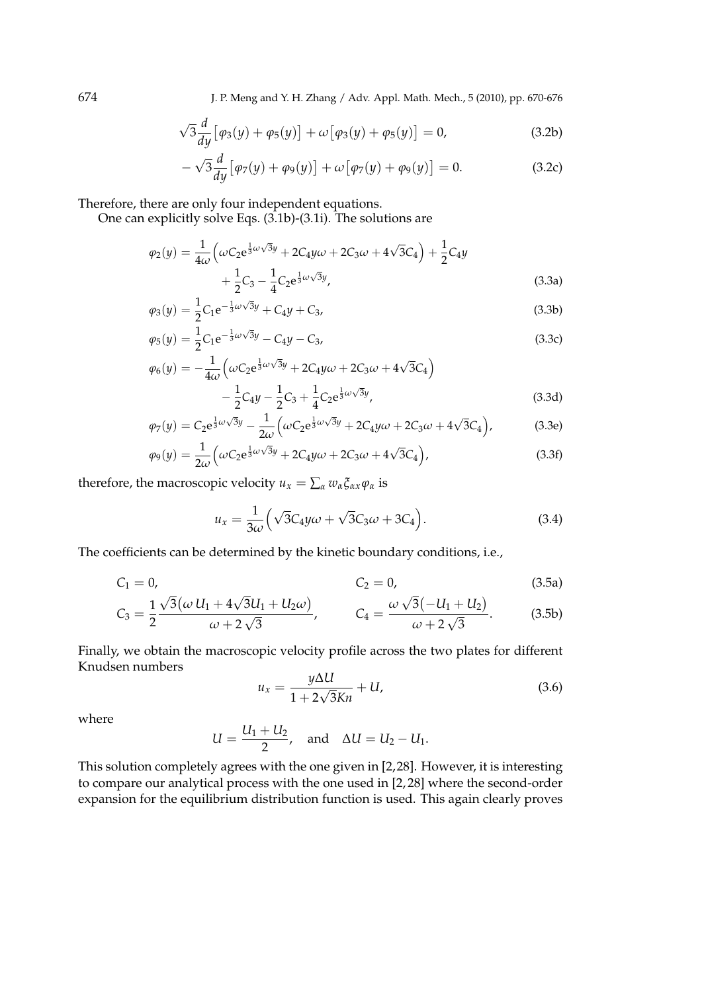674 J. P. Meng and Y. H. Zhang / Adv. Appl. Math. Mech., 5 (2010), pp. 670-676

$$
\sqrt{3}\frac{d}{dy}\big[\varphi_3(y) + \varphi_5(y)\big] + \omega\big[\varphi_3(y) + \varphi_5(y)\big] = 0,\tag{3.2b}
$$

$$
-\sqrt{3}\frac{d}{dy}\big[\varphi_7(y)+\varphi_9(y)\big]+\omega\big[\varphi_7(y)+\varphi_9(y)\big]=0.\tag{3.2c}
$$

Therefore, there are only four independent equations.

One can explicitly solve Eqs. (3.1b)-(3.1i). The solutions are

$$
\varphi_2(y) = \frac{1}{4\omega} \left( \omega C_2 e^{\frac{1}{3}\omega\sqrt{3}y} + 2C_4 y \omega + 2C_3 \omega + 4\sqrt{3}C_4 \right) + \frac{1}{2} C_4 y + \frac{1}{2} C_3 - \frac{1}{4} C_2 e^{\frac{1}{3}\omega\sqrt{3}y},
$$
\n(3.3a)

$$
\varphi_3(y) = \frac{1}{2} C_1 e^{-\frac{1}{3}\omega\sqrt{3}y} + C_4 y + C_3,\tag{3.3b}
$$

$$
\varphi_5(y) = \frac{1}{2} C_1 e^{-\frac{1}{3}\omega\sqrt{3}y} - C_4 y - C_3,\tag{3.3c}
$$

$$
\varphi_6(y) = -\frac{1}{4\omega} \left( \omega C_2 e^{\frac{1}{3}\omega\sqrt{3}y} + 2C_4 y \omega + 2C_3 \omega + 4\sqrt{3}C_4 \right) \n- \frac{1}{2} C_4 y - \frac{1}{2} C_3 + \frac{1}{4} C_2 e^{\frac{1}{3}\omega\sqrt{3}y},
$$
\n(3.3d)

$$
\varphi_7(y) = C_2 e^{\frac{1}{3}\omega\sqrt{3}y} - \frac{1}{2\omega} \left( \omega C_2 e^{\frac{1}{3}\omega\sqrt{3}y} + 2C_4 y \omega + 2C_3 \omega + 4\sqrt{3}C_4 \right),
$$
(3.3e)

$$
\varphi_9(y) = \frac{1}{2\omega} \left( \omega C_2 e^{\frac{1}{3}\omega\sqrt{3}y} + 2C_4 y \omega + 2C_3 \omega + 4\sqrt{3}C_4 \right),\tag{3.3f}
$$

therefore, the macroscopic velocity  $u_x = \sum_{\alpha} w_{\alpha} \xi_{\alpha x} \varphi_{\alpha}$  is

$$
u_x = \frac{1}{3\omega} \left( \sqrt{3}C_4 y \omega + \sqrt{3}C_3 \omega + 3C_4 \right).
$$
 (3.4)

The coefficients can be determined by the kinetic boundary conditions, i.e.,

$$
C_1 = 0,
$$
  $C_2 = 0,$  (3.5a)

$$
C_3 = \frac{1}{2} \frac{\sqrt{3}(\omega U_1 + 4\sqrt{3}U_1 + U_2 \omega)}{\omega + 2\sqrt{3}}, \qquad C_4 = \frac{\omega \sqrt{3}(-U_1 + U_2)}{\omega + 2\sqrt{3}}.
$$
 (3.5b)

Finally, we obtain the macroscopic velocity profile across the two plates for different Knudsen numbers

$$
u_x = \frac{y\Delta U}{1 + 2\sqrt{3}Kn} + U,\tag{3.6}
$$

where

$$
U=\frac{U_1+U_2}{2}, \quad \text{and} \quad \Delta U=U_2-U_1.
$$

This solution completely agrees with the one given in [2,28]. However, it is interesting to compare our analytical process with the one used in [2, 28] where the second-order expansion for the equilibrium distribution function is used. This again clearly proves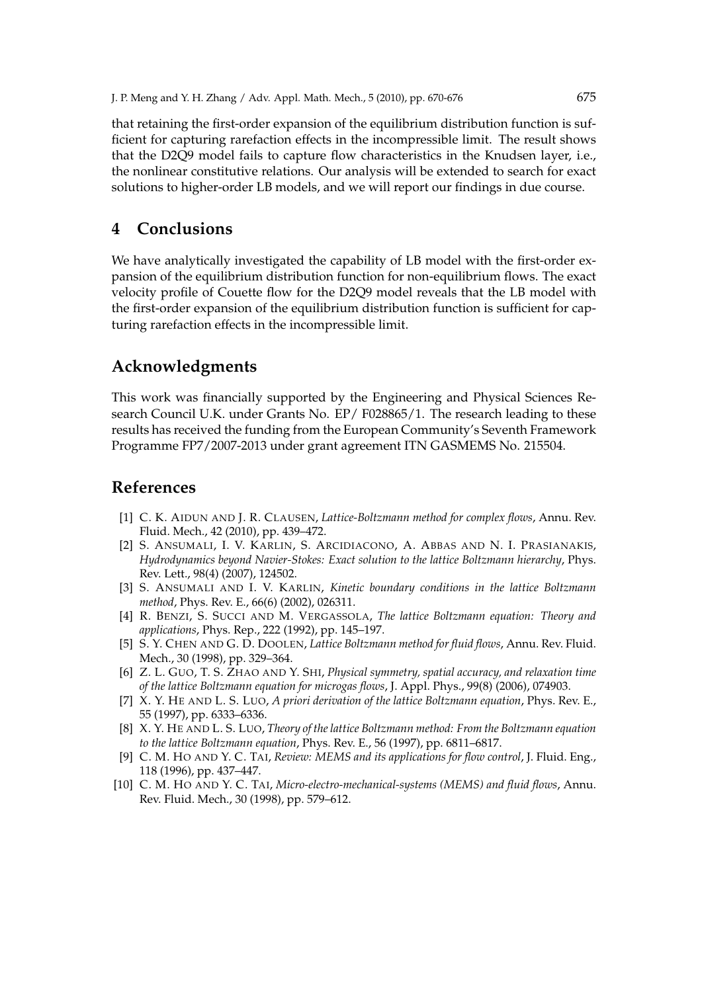that retaining the first-order expansion of the equilibrium distribution function is sufficient for capturing rarefaction effects in the incompressible limit. The result shows that the D2Q9 model fails to capture flow characteristics in the Knudsen layer, i.e., the nonlinear constitutive relations. Our analysis will be extended to search for exact solutions to higher-order LB models, and we will report our findings in due course.

# **4 Conclusions**

We have analytically investigated the capability of LB model with the first-order expansion of the equilibrium distribution function for non-equilibrium flows. The exact velocity profile of Couette flow for the D2Q9 model reveals that the LB model with the first-order expansion of the equilibrium distribution function is sufficient for capturing rarefaction effects in the incompressible limit.

### **Acknowledgments**

This work was financially supported by the Engineering and Physical Sciences Research Council U.K. under Grants No. EP/ F028865/1. The research leading to these results has received the funding from the European Community's Seventh Framework Programme FP7/2007-2013 under grant agreement ITN GASMEMS No. 215504.

# **References**

- [1] C. K. AIDUN AND J. R. CLAUSEN, *Lattice-Boltzmann method for complex flows*, Annu. Rev. Fluid. Mech., 42 (2010), pp. 439–472.
- [2] S. ANSUMALI, I. V. KARLIN, S. ARCIDIACONO, A. ABBAS AND N. I. PRASIANAKIS, *Hydrodynamics beyond Navier-Stokes: Exact solution to the lattice Boltzmann hierarchy*, Phys. Rev. Lett., 98(4) (2007), 124502.
- [3] S. ANSUMALI AND I. V. KARLIN, *Kinetic boundary conditions in the lattice Boltzmann method*, Phys. Rev. E., 66(6) (2002), 026311.
- [4] R. BENZI, S. SUCCI AND M. VERGASSOLA, *The lattice Boltzmann equation: Theory and applications*, Phys. Rep., 222 (1992), pp. 145–197.
- [5] S. Y. CHEN AND G. D. DOOLEN, *Lattice Boltzmann method for fluid flows*, Annu. Rev. Fluid. Mech., 30 (1998), pp. 329–364.
- [6] Z. L. GUO, T. S. ZHAO AND Y. SHI, *Physical symmetry, spatial accuracy, and relaxation time of the lattice Boltzmann equation for microgas flows*, J. Appl. Phys., 99(8) (2006), 074903.
- [7] X. Y. HE AND L. S. LUO, *A priori derivation of the lattice Boltzmann equation*, Phys. Rev. E., 55 (1997), pp. 6333–6336.
- [8] X. Y. HE AND L. S. LUO, *Theory of the lattice Boltzmann method: From the Boltzmann equation to the lattice Boltzmann equation*, Phys. Rev. E., 56 (1997), pp. 6811–6817.
- [9] C. M. HO AND Y. C. TAI, *Review: MEMS and its applications for flow control*, J. Fluid. Eng., 118 (1996), pp. 437–447.
- [10] C. M. HO AND Y. C. TAI, *Micro-electro-mechanical-systems (MEMS) and fluid flows*, Annu. Rev. Fluid. Mech., 30 (1998), pp. 579–612.